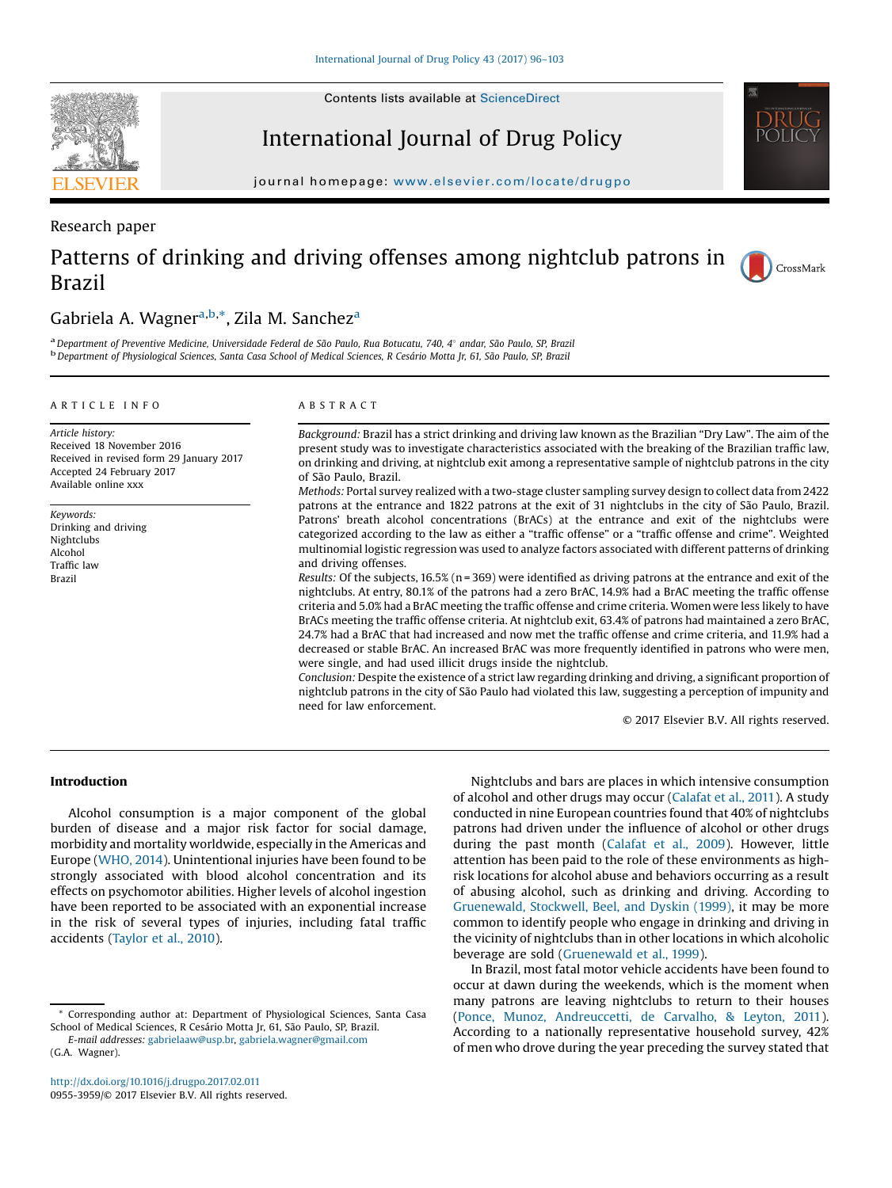Contents lists available at [ScienceDirect](http://www.sciencedirect.com/science/journal/09553959)

**SEVIER** 

International Journal of Drug Policy

journal homepage: <www.elsevier.com/locate/drugpo>

Research paper

# Patterns of drinking and driving offenses among nightclub patrons in Brazil



## Gabriela A. Wagner<sup>a,b,\*</sup>, Zila M. Sanchez<sup>a</sup>

<sup>a</sup> Department of Preventive Medicine, Universidade Federal de São Paulo, Rua Botucatu, 740, 4° andar, São Paulo, SP, Brazil<br><sup>1</sup> Department of Physiological Sciences, Santa Casa School of Medical Sciences, R Cesário Motta

## A R T I C L E I N F O

## A B S T R A C T

Article history: Received 18 November 2016 Received in revised form 29 January 2017 Accepted 24 February 2017 Available online xxx

Keywords: Drinking and driving Nightclubs Alcohol Traffic law Brazil

Background: Brazil has a strict drinking and driving law known as the Brazilian "Dry Law". The aim of the present study was to investigate characteristics associated with the breaking of the Brazilian traffic law, on drinking and driving, at nightclub exit among a representative sample of nightclub patrons in the city of São Paulo, Brazil.

Methods: Portal survey realized with a two-stage cluster sampling survey design to collect data from 2422 patrons at the entrance and 1822 patrons at the exit of 31 nightclubs in the city of São Paulo, Brazil. Patrons' breath alcohol concentrations (BrACs) at the entrance and exit of the nightclubs were categorized according to the law as either a "traffic offense" or a "traffic offense and crime". Weighted multinomial logistic regression was used to analyze factors associated with different patterns of drinking and driving offenses.

Results: Of the subjects, 16.5% (n = 369) were identified as driving patrons at the entrance and exit of the nightclubs. At entry, 80.1% of the patrons had a zero BrAC, 14.9% had a BrAC meeting the traffic offense criteria and 5.0% had a BrAC meeting the traffic offense and crime criteria. Women were less likely to have BrACs meeting the traffic offense criteria. At nightclub exit, 63.4% of patrons had maintained a zero BrAC, 24.7% had a BrAC that had increased and now met the traffic offense and crime criteria, and 11.9% had a decreased or stable BrAC. An increased BrAC was more frequently identified in patrons who were men, were single, and had used illicit drugs inside the nightclub.

Conclusion: Despite the existence of a strict law regarding drinking and driving, a significant proportion of nightclub patrons in the city of São Paulo had violated this law, suggesting a perception of impunity and need for law enforcement.

© 2017 Elsevier B.V. All rights reserved.

## Introduction

Alcohol consumption is a major component of the global burden of disease and a major risk factor for social damage, morbidity and mortality worldwide, especially in the Americas and Europe ([WHO,](#page-7-0) 2014). Unintentional injuries have been found to be strongly associated with blood alcohol concentration and its effects on psychomotor abilities. Higher levels of alcohol ingestion have been reported to be associated with an exponential increase in the risk of several types of injuries, including fatal traffic accidents [\(Taylor](#page-6-0) et al., 2010).

\* Corresponding author at: Department of Physiological Sciences, Santa Casa School of Medical Sciences, R Cesário Motta Jr, 61, São Paulo, SP, Brazil.

E-mail addresses: [gabrielaaw@usp.br,](undefined) [gabriela.wagner@gmail.com](undefined) (G.A. Wagner).

Nightclubs and bars are places in which intensive consumption of alcohol and other drugs may occur [\(Calafat](#page-6-0) et al., 2011). A study conducted in nine European countries found that 40% of nightclubs patrons had driven under the influence of alcohol or other drugs during the past month ([Calafat](#page-6-0) et al., 2009). However, little attention has been paid to the role of these environments as highrisk locations for alcohol abuse and behaviors occurring as a result of abusing alcohol, such as drinking and driving. According to [Gruenewald,](#page-6-0) Stockwell, Beel, and Dyskin (1999), it may be more common to identify people who engage in drinking and driving in the vicinity of nightclubs than in other locations in which alcoholic beverage are sold [\(Gruenewald](#page-6-0) et al., 1999).

In Brazil, most fatal motor vehicle accidents have been found to occur at dawn during the weekends, which is the moment when many patrons are leaving nightclubs to return to their houses (Ponce, Munoz, [Andreuccetti,](#page-6-0) de Carvalho, & Leyton, 2011). According to a nationally representative household survey, 42% of men who drove during the year preceding the survey stated that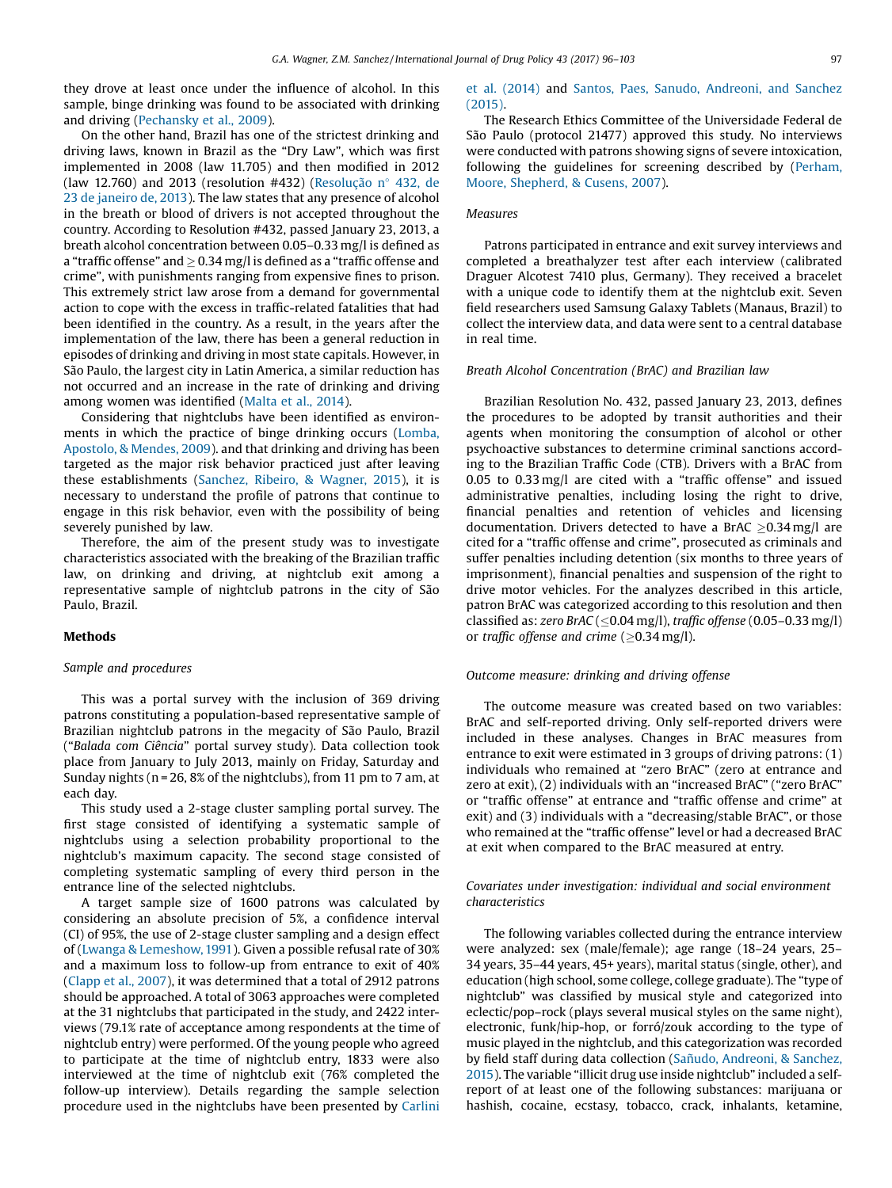they drove at least once under the influence of alcohol. In this sample, binge drinking was found to be associated with drinking and driving ([Pechansky](#page-6-0) et al., 2009).

On the other hand, Brazil has one of the strictest drinking and driving laws, known in Brazil as the "Dry Law", which was first implemented in 2008 (law 11.705) and then modified in 2012 (law 12.760) and 2013 (resolution #432) [\(Resolução](#page-6-0) nº 432, de 23 de [janeiro](#page-6-0) de, 2013). The law states that any presence of alcohol in the breath or blood of drivers is not accepted throughout the country. According to Resolution #432, passed January 23, 2013, a breath alcohol concentration between 0.05–0.33 mg/l is defined as a "traffic offense" and  $> 0.34$  mg/l is defined as a "traffic offense and crime", with punishments ranging from expensive fines to prison. This extremely strict law arose from a demand for governmental action to cope with the excess in traffic-related fatalities that had been identified in the country. As a result, in the years after the implementation of the law, there has been a general reduction in episodes of drinking and driving in most state capitals. However, in São Paulo, the largest city in Latin America, a similar reduction has not occurred and an increase in the rate of drinking and driving among women was identified [\(Malta](#page-6-0) et al., 2014).

Considering that nightclubs have been identified as environments in which the practice of binge drinking occurs [\(Lomba,](#page-6-0) [Apostolo,](#page-6-0) & Mendes, 2009). and that drinking and driving has been targeted as the major risk behavior practiced just after leaving these establishments ([Sanchez,](#page-6-0) Ribeiro, & Wagner, 2015), it is necessary to understand the profile of patrons that continue to engage in this risk behavior, even with the possibility of being severely punished by law.

Therefore, the aim of the present study was to investigate characteristics associated with the breaking of the Brazilian traffic law, on drinking and driving, at nightclub exit among a representative sample of nightclub patrons in the city of São Paulo, Brazil.

#### Methods

#### Sample and procedures

This was a portal survey with the inclusion of 369 driving patrons constituting a population-based representative sample of Brazilian nightclub patrons in the megacity of São Paulo, Brazil ("Balada com Ciência" portal survey study). Data collection took place from January to July 2013, mainly on Friday, Saturday and Sunday nights ( $n = 26$ , 8% of the nightclubs), from 11 pm to 7 am, at each day.

This study used a 2-stage cluster sampling portal survey. The first stage consisted of identifying a systematic sample of nightclubs using a selection probability proportional to the nightclub's maximum capacity. The second stage consisted of completing systematic sampling of every third person in the entrance line of the selected nightclubs.

A target sample size of 1600 patrons was calculated by considering an absolute precision of 5%, a confidence interval (CI) of 95%, the use of 2-stage cluster sampling and a design effect of (Lwanga & [Lemeshow,1991](#page-6-0)). Given a possible refusal rate of 30% and a maximum loss to follow-up from entrance to exit of 40% ([Clapp](#page-6-0) et al., 2007), it was determined that a total of 2912 patrons should be approached. A total of 3063 approaches were completed at the 31 nightclubs that participated in the study, and 2422 interviews (79.1% rate of acceptance among respondents at the time of nightclub entry) were performed. Of the young people who agreed to participate at the time of nightclub entry, 1833 were also interviewed at the time of nightclub exit (76% completed the follow-up interview). Details regarding the sample selection procedure used in the nightclubs have been presented by [Carlini](#page-6-0)

## et al. [\(2014\)](#page-6-0) and Santos, Paes, Sanudo, [Andreoni,](#page-6-0) and Sanchez [\(2015\)](#page-6-0).

The Research Ethics Committee of the Universidade Federal de São Paulo (protocol 21477) approved this study. No interviews were conducted with patrons showing signs of severe intoxication, following the guidelines for screening described by [\(Perham,](#page-6-0) Moore, [Shepherd,](#page-6-0) & Cusens, 2007).

### Measures

Patrons participated in entrance and exit survey interviews and completed a breathalyzer test after each interview (calibrated Draguer Alcotest 7410 plus, Germany). They received a bracelet with a unique code to identify them at the nightclub exit. Seven field researchers used Samsung Galaxy Tablets (Manaus, Brazil) to collect the interview data, and data were sent to a central database in real time.

## Breath Alcohol Concentration (BrAC) and Brazilian law

Brazilian Resolution No. 432, passed January 23, 2013, defines the procedures to be adopted by transit authorities and their agents when monitoring the consumption of alcohol or other psychoactive substances to determine criminal sanctions according to the Brazilian Traffic Code (CTB). Drivers with a BrAC from 0.05 to 0.33 mg/l are cited with a "traffic offense" and issued administrative penalties, including losing the right to drive, financial penalties and retention of vehicles and licensing documentation. Drivers detected to have a BrAC  $>$ 0.34 mg/l are cited for a "traffic offense and crime", prosecuted as criminals and suffer penalties including detention (six months to three years of imprisonment), financial penalties and suspension of the right to drive motor vehicles. For the analyzes described in this article, patron BrAC was categorized according to this resolution and then classified as: zero  $BrAC$  (<0.04 mg/l), traffic offense (0.05–0.33 mg/l) or traffic offense and crime ( $\geq$ 0.34 mg/l).

#### Outcome measure: drinking and driving offense

The outcome measure was created based on two variables: BrAC and self-reported driving. Only self-reported drivers were included in these analyses. Changes in BrAC measures from entrance to exit were estimated in 3 groups of driving patrons: (1) individuals who remained at "zero BrAC" (zero at entrance and zero at exit), (2) individuals with an "increased BrAC" ("zero BrAC" or "traffic offense" at entrance and "traffic offense and crime" at exit) and (3) individuals with a "decreasing/stable BrAC", or those who remained at the "traffic offense" level or had a decreased BrAC at exit when compared to the BrAC measured at entry.

## Covariates under investigation: individual and social environment characteristics

The following variables collected during the entrance interview were analyzed: sex (male/female); age range (18–24 years, 25– 34 years, 35–44 years, 45+ years), marital status (single, other), and education (high school, some college, college graduate). The "type of nightclub" was classified by musical style and categorized into eclectic/pop–rock (plays several musical styles on the same night), electronic, funk/hip-hop, or forró/zouk according to the type of music played in the nightclub, and this categorization was recorded by field staff during data collection (Sañudo, [Andreoni,](#page-6-0) & Sanchez, [2015\)](#page-6-0). The variable "illicit drug use inside nightclub" included a selfreport of at least one of the following substances: marijuana or hashish, cocaine, ecstasy, tobacco, crack, inhalants, ketamine,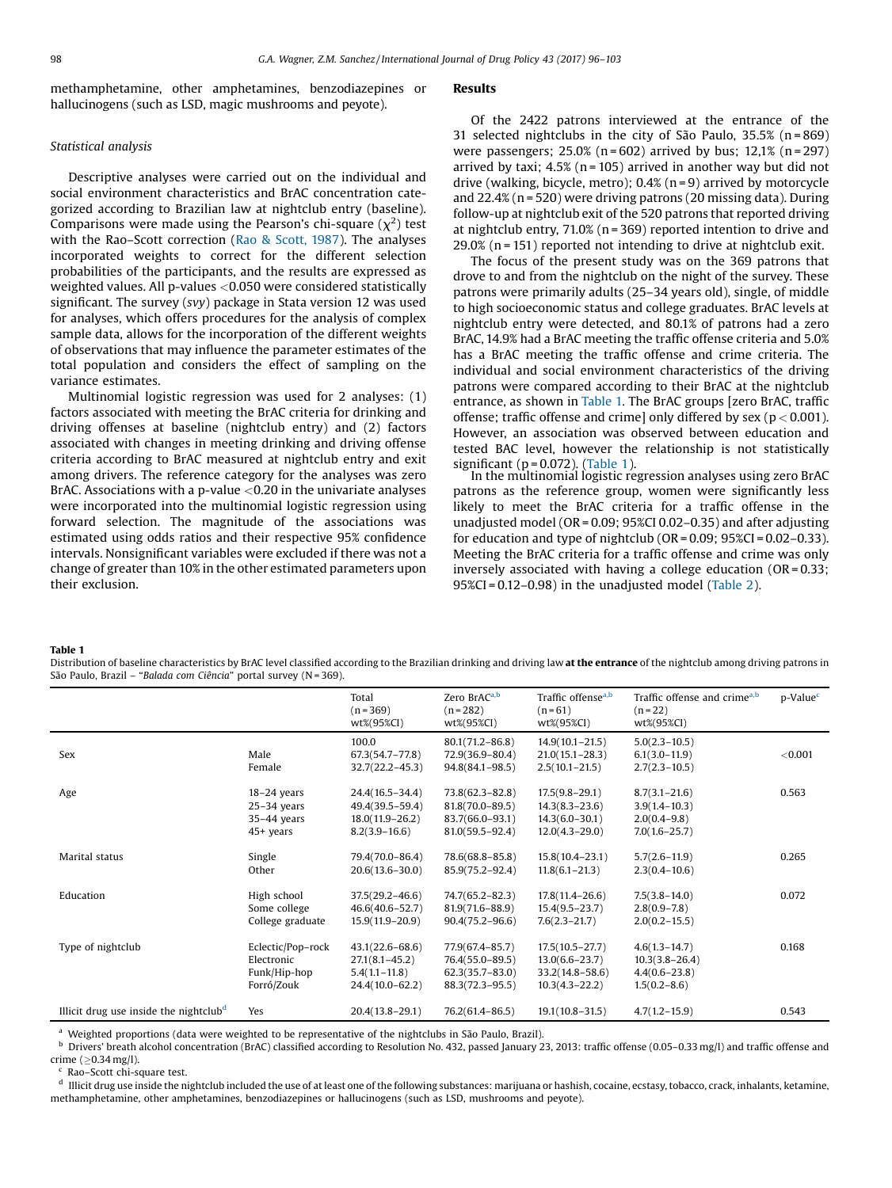methamphetamine, other amphetamines, benzodiazepines or hallucinogens (such as LSD, magic mushrooms and peyote).

## Statistical analysis

Descriptive analyses were carried out on the individual and social environment characteristics and BrAC concentration categorized according to Brazilian law at nightclub entry (baseline). Comparisons were made using the Pearson's chi-square  $(\chi^2)$  test with the Rao–Scott correction (Rao & [Scott,](#page-6-0) 1987). The analyses incorporated weights to correct for the different selection probabilities of the participants, and the results are expressed as weighted values. All p-values <0.050 were considered statistically significant. The survey (svy) package in Stata version 12 was used for analyses, which offers procedures for the analysis of complex sample data, allows for the incorporation of the different weights of observations that may influence the parameter estimates of the total population and considers the effect of sampling on the variance estimates.

Multinomial logistic regression was used for 2 analyses: (1) factors associated with meeting the BrAC criteria for drinking and driving offenses at baseline (nightclub entry) and (2) factors associated with changes in meeting drinking and driving offense criteria according to BrAC measured at nightclub entry and exit among drivers. The reference category for the analyses was zero BrAC. Associations with a p-value  $<$  0.20 in the univariate analyses were incorporated into the multinomial logistic regression using forward selection. The magnitude of the associations was estimated using odds ratios and their respective 95% confidence intervals. Nonsignificant variables were excluded if there was not a change of greater than 10% in the other estimated parameters upon their exclusion.

#### Results

Of the 2422 patrons interviewed at the entrance of the 31 selected nightclubs in the city of São Paulo,  $35.5\%$  (n=869) were passengers;  $25.0\%$  (n=602) arrived by bus;  $12.1\%$  (n=297) arrived by taxi;  $4.5\%$  (n = 105) arrived in another way but did not drive (walking, bicycle, metro);  $0.4%$  (n = 9) arrived by motorcycle and 22.4% (n = 520) were driving patrons (20 missing data). During follow-up at nightclub exit of the 520 patrons that reported driving at nightclub entry, 71.0% (n = 369) reported intention to drive and  $29.0\%$  (n = 151) reported not intending to drive at nightclub exit.

The focus of the present study was on the 369 patrons that drove to and from the nightclub on the night of the survey. These patrons were primarily adults (25–34 years old), single, of middle to high socioeconomic status and college graduates. BrAC levels at nightclub entry were detected, and 80.1% of patrons had a zero BrAC, 14.9% had a BrAC meeting the traffic offense criteria and 5.0% has a BrAC meeting the traffic offense and crime criteria. The individual and social environment characteristics of the driving patrons were compared according to their BrAC at the nightclub entrance, as shown in Table 1. The BrAC groups [zero BrAC, traffic offense; traffic offense and crime] only differed by sex ( $p < 0.001$ ). However, an association was observed between education and tested BAC level, however the relationship is not statistically significant ( $p = 0.072$ ). (Table 1).

In the multinomial logistic regression analyses using zero BrAC patrons as the reference group, women were significantly less likely to meet the BrAC criteria for a traffic offense in the unadjusted model (OR = 0.09; 95%CI 0.02–0.35) and after adjusting for education and type of nightclub ( $OR = 0.09$ ;  $95\%CI = 0.02 - 0.33$ ). Meeting the BrAC criteria for a traffic offense and crime was only inversely associated with having a college education  $(OR = 0.33)$ ; 95%CI = 0.12–0.98) in the unadjusted model ([Table](#page-3-0) 2).

Table 1

Distribution of baseline characteristics by BrAC level classified according to the Brazilian drinking and driving law at the entrance of the nightclub among driving patrons in São Paulo, Brazil – "Balada com Ciência" portal survey (N = 369).

|                                                    |                                                                | Total<br>$(n=369)$<br>wt%(95%CI)                                                  | Zero BrACa,b<br>$(n=282)$<br>wt%(95%CI)                                              | Traffic offense <sup>a,b</sup><br>$(n=61)$<br>wt%(95%CI)                               | Traffic offense and crime <sup>a,b</sup><br>$(n=22)$<br>wt%(95%CI)               | p-Value <sup>c</sup> |
|----------------------------------------------------|----------------------------------------------------------------|-----------------------------------------------------------------------------------|--------------------------------------------------------------------------------------|----------------------------------------------------------------------------------------|----------------------------------------------------------------------------------|----------------------|
| Sex                                                | Male<br>Female                                                 | 100.0<br>$67.3(54.7 - 77.8)$<br>$32.7(22.2 - 45.3)$                               | $80.1(71.2 - 86.8)$<br>72.9(36.9-80.4)<br>$94.8(84.1 - 98.5)$                        | $14.9(10.1 - 21.5)$<br>$21.0(15.1 - 28.3)$<br>$2.5(10.1 - 21.5)$                       | $5.0(2.3 - 10.5)$<br>$6.1(3.0-11.9)$<br>$2,7(2.3-10.5)$                          | < 0.001              |
| Age                                                | $18-24$ years<br>$25-34$ years<br>$35-44$ years<br>$45+$ years | 24.4(16.5-34.4)<br>49.4(39.5-59.4)<br>$18.0(11.9 - 26.2)$<br>$8.2(3.9 - 16.6)$    | $73.8(62.3 - 82.8)$<br>$81.8(70.0 - 89.5)$<br>83.7(66.0-93.1)<br>$81.0(59.5 - 92.4)$ | $17.5(9.8 - 29.1)$<br>$14.3(8.3 - 23.6)$<br>$14.3(6.0 - 30.1)$<br>$12.0(4.3 - 29.0)$   | $8.7(3.1 - 21.6)$<br>$3.9(1.4 - 10.3)$<br>$2.0(0.4 - 9.8)$<br>$7.0(1.6 - 25.7)$  | 0.563                |
| Marital status                                     | Single<br>Other                                                | 79.4(70.0-86.4)<br>$20.6(13.6 - 30.0)$                                            | 78.6(68.8-85.8)<br>85.9(75.2-92.4)                                                   | $15.8(10.4 - 23.1)$<br>$11.8(6.1 - 21.3)$                                              | $5.7(2.6 - 11.9)$<br>$2.3(0.4 - 10.6)$                                           | 0.265                |
| Education                                          | High school<br>Some college<br>College graduate                | $37.5(29.2 - 46.6)$<br>$46.6(40.6 - 52.7)$<br>$15.9(11.9 - 20.9)$                 | $74.7(65.2 - 82.3)$<br>$81.9(71.6 - 88.9)$<br>$90.4(75.2 - 96.6)$                    | $17.8(11.4 - 26.6)$<br>$15.4(9.5 - 23.7)$<br>$7.6(2.3 - 21.7)$                         | $7.5(3.8 - 14.0)$<br>$2.8(0.9 - 7.8)$<br>$2.0(0.2 - 15.5)$                       | 0.072                |
| Type of nightclub                                  | Eclectic/Pop-rock<br>Electronic<br>Funk/Hip-hop<br>Forró/Zouk  | $43.1(22.6 - 68.6)$<br>$27.1(8.1 - 45.2)$<br>$5.4(1.1 - 11.8)$<br>24.4(10.0–62.2) | 77.9(67.4-85.7)<br>76.4(55.0-89.5)<br>$62.3(35.7 - 83.0)$<br>88.3(72.3–95.5)         | $17.5(10.5 - 27.7)$<br>$13.0(6.6 - 23.7)$<br>$33.2(14.8 - 58.6)$<br>$10.3(4.3 - 22.2)$ | $4.6(1.3 - 14.7)$<br>$10.3(3.8 - 26.4)$<br>$4.4(0.6 - 23.8)$<br>$1.5(0.2 - 8.6)$ | 0.168                |
| Illicit drug use inside the nightclub <sup>d</sup> | Yes                                                            | $20.4(13.8 - 29.1)$                                                               | $76.2(61.4 - 86.5)$                                                                  | $19.1(10.8 - 31.5)$                                                                    | $4.7(1.2 - 15.9)$                                                                | 0.543                |

<sup>a</sup> Weighted proportions (data were weighted to be representative of the nightclubs in São Paulo, Brazil).

b Drivers' breath alcohol concentration (BrAC) classified according to Resolution No. 432, passed January 23, 2013: traffic offense (0.05-0.33 mg/l) and traffic offense and crime ( $\geq$ 0.34 mg/l).<br><sup>c</sup> Rao–Scott chi-square test.

<sup>d</sup> Illicit drug use inside the nightclub included the use of at least one of the following substances: marijuana or hashish, cocaine, ecstasy, tobacco, crack, inhalants, ketamine, methamphetamine, other amphetamines, benzodiazepines or hallucinogens (such as LSD, mushrooms and peyote).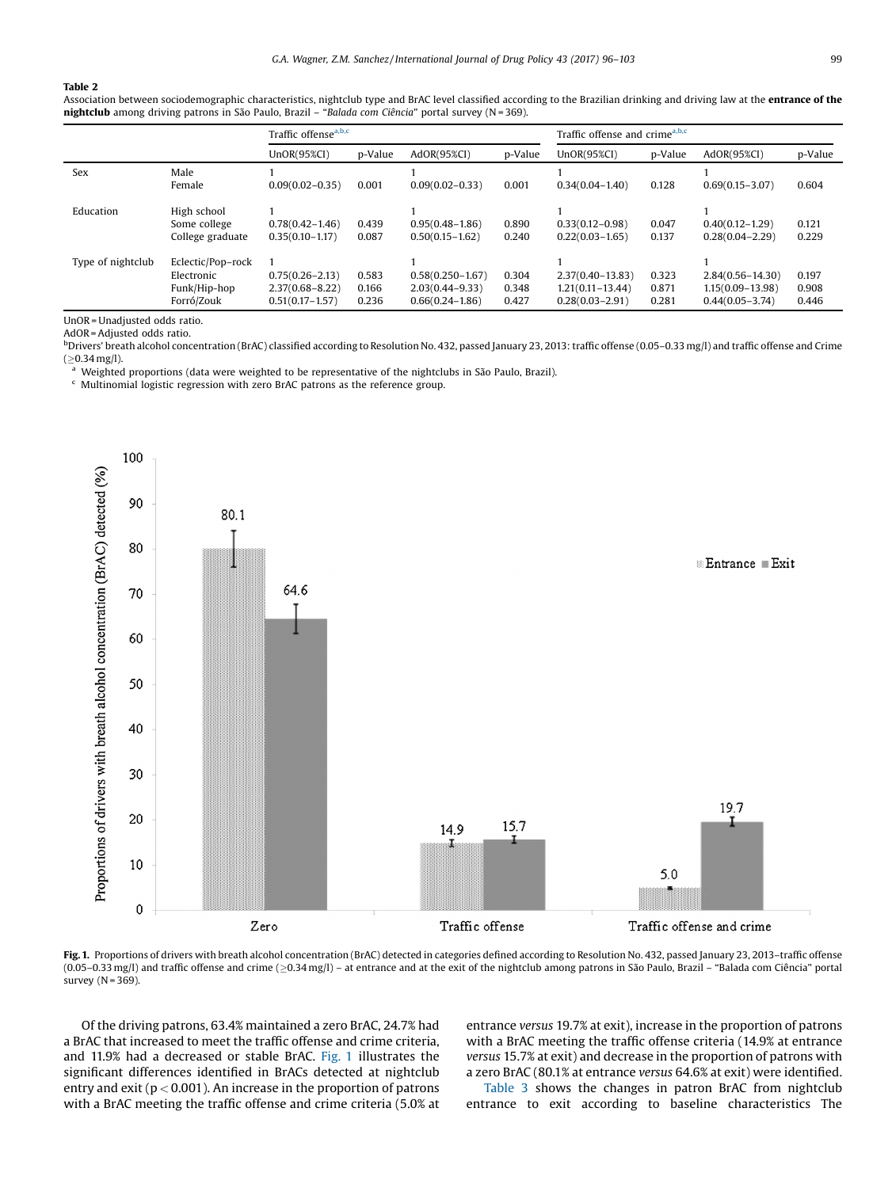#### <span id="page-3-0"></span>Table 2

Association between sociodemographic characteristics, nightclub type and BrAC level classified according to the Brazilian drinking and driving law at the **entrance of the** nightclub among driving patrons in São Paulo, Brazil – "Balada com Ciência" portal survey (N=369).

|                   |                                                               | Traffic offense <sup>a,b,c</sup>                                |                         |                                                                    |                         | Traffic offense and crime <sup>a,b,c</sup>                      |                         |                                                                     |                         |  |
|-------------------|---------------------------------------------------------------|-----------------------------------------------------------------|-------------------------|--------------------------------------------------------------------|-------------------------|-----------------------------------------------------------------|-------------------------|---------------------------------------------------------------------|-------------------------|--|
|                   |                                                               | UnOR(95%CI)                                                     | p-Value                 | AdOR(95%CI)                                                        | p-Value                 | UnOR(95%CI)                                                     | p-Value                 | AdOR(95%CI)                                                         | p-Value                 |  |
| Sex               | Male<br>Female                                                | $0.09(0.02 - 0.35)$                                             | 0.001                   | $0.09(0.02 - 0.33)$                                                | 0.001                   | $0.34(0.04 - 1.40)$                                             | 0.128                   | $0.69(0.15 - 3.07)$                                                 | 0.604                   |  |
| Education         | High school<br>Some college<br>College graduate               | $0.78(0.42 - 1.46)$<br>$0.35(0.10 - 1.17)$                      | 0.439<br>0.087          | $0.95(0.48 - 1.86)$<br>$0.50(0.15 - 1.62)$                         | 0.890<br>0.240          | $0.33(0.12 - 0.98)$<br>$0.22(0.03 - 1.65)$                      | 0.047<br>0.137          | $0.40(0.12 - 1.29)$<br>$0.28(0.04 - 2.29)$                          | 0.121<br>0.229          |  |
| Type of nightclub | Eclectic/Pop-rock<br>Electronic<br>Funk/Hip-hop<br>Forró/Zouk | $0.75(0.26 - 2.13)$<br>$2,37(0.68-8.22)$<br>$0.51(0.17 - 1.57)$ | 0.583<br>0.166<br>0.236 | $0.58(0.250 - 1.67)$<br>$2.03(0.44 - 9.33)$<br>$0.66(0.24 - 1.86)$ | 0.304<br>0.348<br>0.427 | $2,37(0.40-13.83)$<br>$1,21(0.11-13.44)$<br>$0.28(0.03 - 2.91)$ | 0.323<br>0.871<br>0.281 | $2,84(0.56 - 14.30)$<br>$1.15(0.09 - 13.98)$<br>$0.44(0.05 - 3.74)$ | 0.197<br>0.908<br>0.446 |  |

UnOR = Unadjusted odds ratio.

AdOR = Adjusted odds ratio.

b Drivers' breath alcohol concentration (BrAC) classified according to Resolution No. 432, passed January 23, 2013: traffic offense (0.05-0.33 mg/l) and traffic offense and Crime  $(≥0.34 \text{ mg/l}).$ <br><sup>a</sup> Weighted proportions (data were weighted to be representative of the nightclubs in São Paulo, Brazil).

<sup>c</sup> Multinomial logistic regression with zero BrAC patrons as the reference group.



Fig. 1. Proportions of drivers with breath alcohol concentration (BrAC) detected in categories defined according to Resolution No. 432, passed January 23, 2013-traffic offense  $(0.05-0.33$  mg/l) and traffic offense and crime ( $\geq 0.34$  mg/l) – at entrance and at the exit of the nightclub among patrons in São Paulo, Brazil – "Balada com Ciência" portal survey  $(N = 369)$ .

Of the driving patrons, 63.4% maintained a zero BrAC, 24.7% had a BrAC that increased to meet the traffic offense and crime criteria, and 11.9% had a decreased or stable BrAC. Fig. 1 illustrates the significant differences identified in BrACs detected at nightclub entry and exit ( $p < 0.001$ ). An increase in the proportion of patrons with a BrAC meeting the traffic offense and crime criteria (5.0% at entrance versus 19.7% at exit), increase in the proportion of patrons with a BrAC meeting the traffic offense criteria (14.9% at entrance versus 15.7% at exit) and decrease in the proportion of patrons with a zero BrAC (80.1% at entrance versus 64.6% at exit) were identified.

[Table](#page-4-0) 3 shows the changes in patron BrAC from nightclub entrance to exit according to baseline characteristics The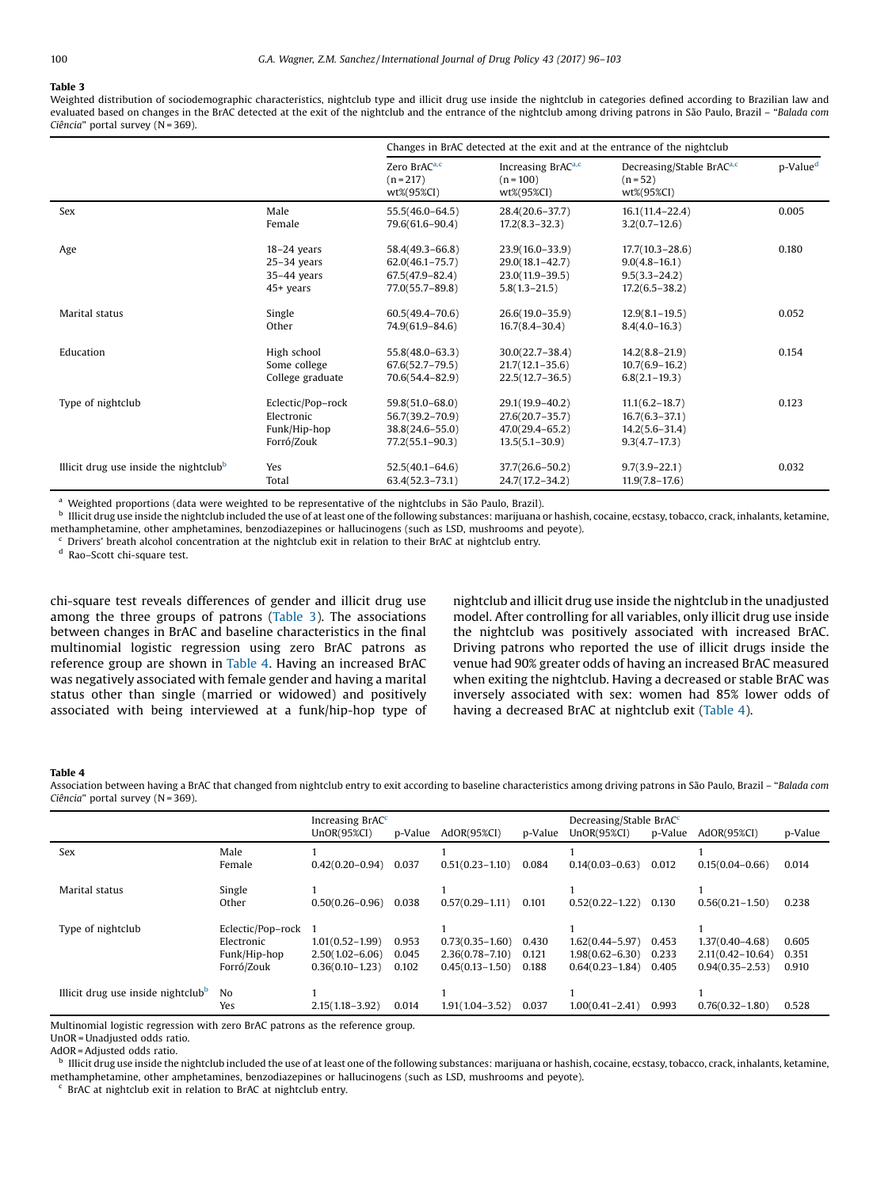## <span id="page-4-0"></span>Table 3

Weighted distribution of sociodemographic characteristics, nightclub type and illicit drug use inside the nightclub in categories defined according to Brazilian law and evaluated based on changes in the BrAC detected at the exit of the nightclub and the entrance of the nightclub among driving patrons in São Paulo, Brazil – "Balada com Ciência" portal survey (N = 369).

|                                                    |                                                               | Changes in BrAC detected at the exit and at the entrance of the nightclub                |                                                                                        |                                                                                     |                      |  |  |  |  |
|----------------------------------------------------|---------------------------------------------------------------|------------------------------------------------------------------------------------------|----------------------------------------------------------------------------------------|-------------------------------------------------------------------------------------|----------------------|--|--|--|--|
|                                                    |                                                               | Zero BrAC <sup>a,c</sup><br>$(n=217)$<br>wt%(95%CI)                                      | Increasing BrAC <sup>a,c</sup><br>$(n = 100)$<br>wt%(95%CI)                            | Decreasing/Stable BrAC <sup>a,c</sup><br>$(n = 52)$<br>wt%(95%CI)                   | p-Value <sup>d</sup> |  |  |  |  |
| Sex                                                | Male<br>Female                                                | $55.5(46.0 - 64.5)$<br>79.6(61.6-90.4)                                                   | 28.4(20.6-37.7)<br>$17.2(8.3 - 32.3)$                                                  | $16.1(11.4 - 22.4)$<br>$3.2(0.7-12.6)$                                              | 0.005                |  |  |  |  |
| Age                                                | $18-24$ years<br>$25-34$ years<br>$35-44$ years<br>45+ years  | $58.4(49.3 - 66.8)$<br>$62.0(46.1 - 75.7)$<br>$67.5(47.9 - 82.4)$<br>$77.0(55.7 - 89.8)$ | $23.9(16.0 - 33.9)$<br>$29.0(18.1 - 42.7)$<br>$23.0(11.9 - 39.5)$<br>$5.8(1.3 - 21.5)$ | $17.7(10.3 - 28.6)$<br>$9.0(4.8 - 16.1)$<br>$9.5(3.3 - 24.2)$<br>$17.2(6.5 - 38.2)$ | 0.180                |  |  |  |  |
| Marital status                                     | Single<br>Other                                               | $60.5(49.4 - 70.6)$<br>74.9(61.9-84.6)                                                   | $26.6(19.0 - 35.9)$<br>$16.7(8.4 - 30.4)$                                              | $12.9(8.1 - 19.5)$<br>$8.4(4.0 - 16.3)$                                             | 0.052                |  |  |  |  |
| Education                                          | High school<br>Some college<br>College graduate               | 55.8(48.0-63.3)<br>$67.6(52.7 - 79.5)$<br>70.6(54.4-82.9)                                | $30.0(22.7 - 38.4)$<br>$21.7(12.1 - 35.6)$<br>$22.5(12.7-36.5)$                        | $14.2(8.8 - 21.9)$<br>$10.7(6.9 - 16.2)$<br>$6.8(2.1 - 19.3)$                       | 0.154                |  |  |  |  |
| Type of nightclub                                  | Eclectic/Pop-rock<br>Electronic<br>Funk/Hip-hop<br>Forró/Zouk | $59.8(51.0 - 68.0)$<br>56.7(39.2-70.9)<br>38.8(24.6-55.0)<br>$77.2(55.1 - 90.3)$         | 29.1(19.9-40.2)<br>$27.6(20.7 - 35.7)$<br>$47.0(29.4 - 65.2)$<br>$13.5(5.1 - 30.9)$    | $11.1(6.2 - 18.7)$<br>$16.7(6.3 - 37.1)$<br>$14.2(5.6 - 31.4)$<br>$9.3(4.7 - 17.3)$ | 0.123                |  |  |  |  |
| Illicit drug use inside the nightclub <sup>b</sup> | Yes<br>Total                                                  | $52.5(40.1 - 64.6)$<br>$63.4(52.3 - 73.1)$                                               | 37.7(26.6-50.2)<br>24.7(17.2-34.2)                                                     | $9.7(3.9 - 22.1)$<br>$11.9(7.8 - 17.6)$                                             | 0.032                |  |  |  |  |

<sup>a</sup> Weighted proportions (data were weighted to be representative of the nightclubs in São Paulo, Brazil).

<sup>b</sup> Illicit drug use inside the nightclub included the use of at least one of the following substances: marijuana or hashish, cocaine, ecstasy, tobacco, crack, inhalants, ketamine, methamphetamine, other amphetamines, benzodiazepines or hallucinogens (such as LSD, mushrooms and peyote).

 $c$  Drivers' breath alcohol concentration at the nightclub exit in relation to their BrAC at nightclub entry.

<sup>d</sup> Rao–Scott chi-square test.

chi-square test reveals differences of gender and illicit drug use among the three groups of patrons (Table 3). The associations between changes in BrAC and baseline characteristics in the final multinomial logistic regression using zero BrAC patrons as reference group are shown in Table 4. Having an increased BrAC was negatively associated with female gender and having a marital status other than single (married or widowed) and positively associated with being interviewed at a funk/hip-hop type of nightclub and illicit drug use inside the nightclub in the unadjusted model. After controlling for all variables, only illicit drug use inside the nightclub was positively associated with increased BrAC. Driving patrons who reported the use of illicit drugs inside the venue had 90% greater odds of having an increased BrAC measured when exiting the nightclub. Having a decreased or stable BrAC was inversely associated with sex: women had 85% lower odds of having a decreased BrAC at nightclub exit (Table 4).

## Table 4

Association between having a BrAC that changed from nightclub entry to exit according to baseline characteristics among driving patrons in São Paulo, Brazil - "Balada com Ciência" portal survey (N = 369).

|                                                |                                                               | Increasing BrAC <sup>c</sup><br>UnOR(95%CI)                       | p-Value                 | AdOR(95%CI)                                                       | p-Value                 | Decreasing/Stable BrAC <sup>c</sup><br>$UnOR(95\%CI)$             | p-Value                 | AdOR(95%CI)                                                        | p-Value                 |
|------------------------------------------------|---------------------------------------------------------------|-------------------------------------------------------------------|-------------------------|-------------------------------------------------------------------|-------------------------|-------------------------------------------------------------------|-------------------------|--------------------------------------------------------------------|-------------------------|
| Sex                                            | Male<br>Female                                                | $0.42(0.20 - 0.94)$                                               | 0.037                   | $0.51(0.23 - 1.10)$                                               | 0.084                   | $0.14(0.03 - 0.63)$                                               | 0.012                   | $0.15(0.04 - 0.66)$                                                | 0.014                   |
| Marital status                                 | Single<br>Other                                               | $0.50(0.26 - 0.96)$                                               | 0.038                   | $0.57(0.29 - 1.11)$                                               | 0.101                   | $0.52(0.22 - 1.22)$                                               | 0.130                   | $0.56(0.21 - 1.50)$                                                | 0.238                   |
| Type of nightclub                              | Eclectic/Pop-rock<br>Electronic<br>Funk/Hip-hop<br>Forró/Zouk | $1.01(0.52 - 1.99)$<br>$2.50(1.02 - 6.06)$<br>$0.36(0.10 - 1.23)$ | 0.953<br>0.045<br>0.102 | $0.73(0.35 - 1.60)$<br>$2.36(0.78 - 7.10)$<br>$0.45(0.13 - 1.50)$ | 0.430<br>0.121<br>0.188 | $1.62(0.44 - 5.97)$<br>$1.98(0.62 - 6.30)$<br>$0.64(0.23 - 1.84)$ | 0.453<br>0.233<br>0.405 | $1.37(0.40 - 4.68)$<br>$2.11(0.42 - 10.64)$<br>$0.94(0.35 - 2.53)$ | 0.605<br>0.351<br>0.910 |
| Illicit drug use inside nightclub <sup>b</sup> | N <sub>0</sub><br>Yes                                         | $2.15(1.18 - 3.92)$                                               | 0.014                   | $1.91(1.04 - 3.52)$                                               | 0.037                   | $1.00(0.41 - 2.41)$                                               | 0.993                   | $0.76(0.32 - 1.80)$                                                | 0.528                   |

Multinomial logistic regression with zero BrAC patrons as the reference group.

UnOR = Unadjusted odds ratio.

AdOR =Adjusted odds ratio.

<sup>b</sup> Illicit drug use inside the nightclub included the use of at least one of the following substances: marijuana or hashish, cocaine, ecstasy, tobacco, crack, inhalants, ketamine, methamphetamine, other amphetamines, benzodiazepines or hallucinogens (such as LSD, mushrooms and peyote).

 $c$  BrAC at nightclub exit in relation to BrAC at nightclub entry.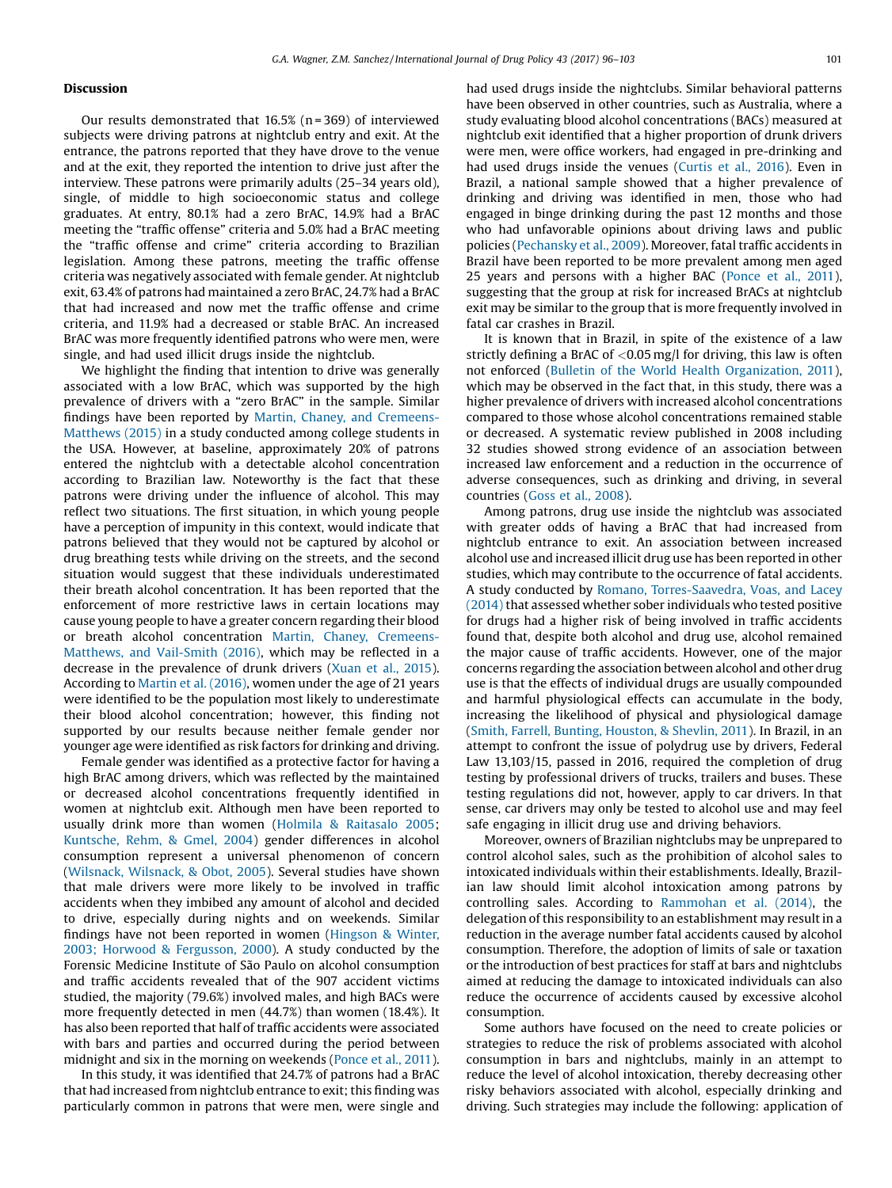#### Discussion

Our results demonstrated that 16.5% (n = 369) of interviewed subjects were driving patrons at nightclub entry and exit. At the entrance, the patrons reported that they have drove to the venue and at the exit, they reported the intention to drive just after the interview. These patrons were primarily adults (25–34 years old), single, of middle to high socioeconomic status and college graduates. At entry, 80.1% had a zero BrAC, 14.9% had a BrAC meeting the "traffic offense" criteria and 5.0% had a BrAC meeting the "traffic offense and crime" criteria according to Brazilian legislation. Among these patrons, meeting the traffic offense criteria was negatively associated with female gender. At nightclub exit, 63.4% of patrons had maintained a zero BrAC, 24.7% had a BrAC that had increased and now met the traffic offense and crime criteria, and 11.9% had a decreased or stable BrAC. An increased BrAC was more frequently identified patrons who were men, were single, and had used illicit drugs inside the nightclub.

We highlight the finding that intention to drive was generally associated with a low BrAC, which was supported by the high prevalence of drivers with a "zero BrAC" in the sample. Similar findings have been reported by Martin, Chaney, and [Cremeens-](#page-6-0)[Matthews](#page-6-0) (2015) in a study conducted among college students in the USA. However, at baseline, approximately 20% of patrons entered the nightclub with a detectable alcohol concentration according to Brazilian law. Noteworthy is the fact that these patrons were driving under the influence of alcohol. This may reflect two situations. The first situation, in which young people have a perception of impunity in this context, would indicate that patrons believed that they would not be captured by alcohol or drug breathing tests while driving on the streets, and the second situation would suggest that these individuals underestimated their breath alcohol concentration. It has been reported that the enforcement of more restrictive laws in certain locations may cause young people to have a greater concern regarding their blood or breath alcohol concentration Martin, Chaney, [Cremeens-](#page-6-0)Matthews, and [Vail-Smith](#page-6-0) (2016), which may be reflected in a decrease in the prevalence of drunk drivers ([Xuan](#page-7-0) et al., 2015). According to [Martin](#page-6-0) et al. (2016), women under the age of 21 years were identified to be the population most likely to underestimate their blood alcohol concentration; however, this finding not supported by our results because neither female gender nor younger age were identified as risk factors for drinking and driving.

Female gender was identified as a protective factor for having a high BrAC among drivers, which was reflected by the maintained or decreased alcohol concentrations frequently identified in women at nightclub exit. Although men have been reported to usually drink more than women (Holmila & [Raitasalo](#page-6-0) 2005; [Kuntsche,](#page-6-0) Rehm, & Gmel, 2004) gender differences in alcohol consumption represent a universal phenomenon of concern (Wilsnack, [Wilsnack,](#page-7-0) & Obot, 2005). Several studies have shown that male drivers were more likely to be involved in traffic accidents when they imbibed any amount of alcohol and decided to drive, especially during nights and on weekends. Similar findings have not been reported in women [\(Hingson](#page-6-0) & Winter, 2003; Horwood & [Fergusson,](#page-6-0) 2000). A study conducted by the Forensic Medicine Institute of São Paulo on alcohol consumption and traffic accidents revealed that of the 907 accident victims studied, the majority (79.6%) involved males, and high BACs were more frequently detected in men (44.7%) than women (18.4%). It has also been reported that half of traffic accidents were associated with bars and parties and occurred during the period between midnight and six in the morning on weekends [\(Ponce](#page-6-0) et al., 2011).

In this study, it was identified that 24.7% of patrons had a BrAC that had increased from nightclub entrance to exit; this finding was particularly common in patrons that were men, were single and had used drugs inside the nightclubs. Similar behavioral patterns have been observed in other countries, such as Australia, where a study evaluating blood alcohol concentrations (BACs) measured at nightclub exit identified that a higher proportion of drunk drivers were men, were office workers, had engaged in pre-drinking and had used drugs inside the venues [\(Curtis](#page-6-0) et al., 2016). Even in Brazil, a national sample showed that a higher prevalence of drinking and driving was identified in men, those who had engaged in binge drinking during the past 12 months and those who had unfavorable opinions about driving laws and public policies [\(Pechansky](#page-6-0) et al., 2009). Moreover, fatal traffic accidents in Brazil have been reported to be more prevalent among men aged 25 years and persons with a higher BAC [\(Ponce](#page-6-0) et al., 2011), suggesting that the group at risk for increased BrACs at nightclub exit may be similar to the group that is more frequently involved in fatal car crashes in Brazil.

It is known that in Brazil, in spite of the existence of a law strictly defining a BrAC of  $<$  0.05 mg/l for driving, this law is often not enforced (Bulletin of the World Health [Organization,](#page-6-0) 2011), which may be observed in the fact that, in this study, there was a higher prevalence of drivers with increased alcohol concentrations compared to those whose alcohol concentrations remained stable or decreased. A systematic review published in 2008 including 32 studies showed strong evidence of an association between increased law enforcement and a reduction in the occurrence of adverse consequences, such as drinking and driving, in several countries (Goss et al., [2008](#page-6-0)).

Among patrons, drug use inside the nightclub was associated with greater odds of having a BrAC that had increased from nightclub entrance to exit. An association between increased alcohol use and increased illicit drug use has been reported in other studies, which may contribute to the occurrence of fatal accidents. A study conducted by Romano, [Torres-Saavedra,](#page-6-0) Voas, and Lacey [\(2014\)](#page-6-0) that assessed whether sober individuals who tested positive for drugs had a higher risk of being involved in traffic accidents found that, despite both alcohol and drug use, alcohol remained the major cause of traffic accidents. However, one of the major concerns regarding the association between alcohol and other drug use is that the effects of individual drugs are usually compounded and harmful physiological effects can accumulate in the body, increasing the likelihood of physical and physiological damage (Smith, Farrell, Bunting, [Houston,](#page-6-0) & Shevlin, 2011). In Brazil, in an attempt to confront the issue of polydrug use by drivers, Federal Law 13,103/15, passed in 2016, required the completion of drug testing by professional drivers of trucks, trailers and buses. These testing regulations did not, however, apply to car drivers. In that sense, car drivers may only be tested to alcohol use and may feel safe engaging in illicit drug use and driving behaviors.

Moreover, owners of Brazilian nightclubs may be unprepared to control alcohol sales, such as the prohibition of alcohol sales to intoxicated individuals within their establishments. Ideally, Brazilian law should limit alcohol intoxication among patrons by controlling sales. According to [Rammohan](#page-6-0) et al. (2014), the delegation of this responsibility to an establishment may result in a reduction in the average number fatal accidents caused by alcohol consumption. Therefore, the adoption of limits of sale or taxation or the introduction of best practices for staff at bars and nightclubs aimed at reducing the damage to intoxicated individuals can also reduce the occurrence of accidents caused by excessive alcohol consumption.

Some authors have focused on the need to create policies or strategies to reduce the risk of problems associated with alcohol consumption in bars and nightclubs, mainly in an attempt to reduce the level of alcohol intoxication, thereby decreasing other risky behaviors associated with alcohol, especially drinking and driving. Such strategies may include the following: application of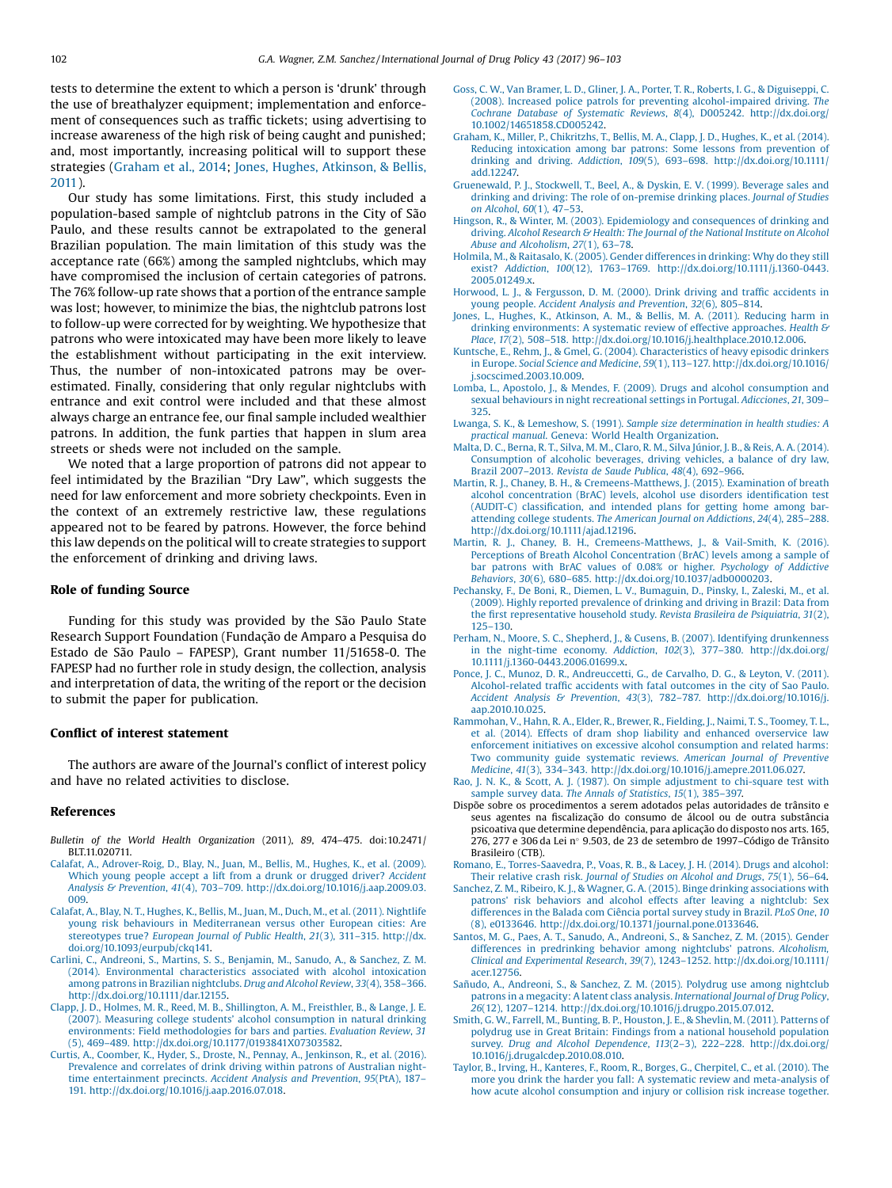<span id="page-6-0"></span>tests to determine the extent to which a person is 'drunk' through the use of breathalyzer equipment; implementation and enforcement of consequences such as traffic tickets; using advertising to increase awareness of the high risk of being caught and punished; and, most importantly, increasing political will to support these strategies (Graham et al., 2014; Jones, Hughes, Atkinson, & Bellis, 2011).

Our study has some limitations. First, this study included a population-based sample of nightclub patrons in the City of São Paulo, and these results cannot be extrapolated to the general Brazilian population. The main limitation of this study was the acceptance rate (66%) among the sampled nightclubs, which may have compromised the inclusion of certain categories of patrons. The 76% follow-up rate shows that a portion of the entrance sample was lost; however, to minimize the bias, the nightclub patrons lost to follow-up were corrected for by weighting. We hypothesize that patrons who were intoxicated may have been more likely to leave the establishment without participating in the exit interview. Thus, the number of non-intoxicated patrons may be overestimated. Finally, considering that only regular nightclubs with entrance and exit control were included and that these almost always charge an entrance fee, our final sample included wealthier patrons. In addition, the funk parties that happen in slum area streets or sheds were not included on the sample.

We noted that a large proportion of patrons did not appear to feel intimidated by the Brazilian "Dry Law", which suggests the need for law enforcement and more sobriety checkpoints. Even in the context of an extremely restrictive law, these regulations appeared not to be feared by patrons. However, the force behind this law depends on the political will to create strategies to support the enforcement of drinking and driving laws.

## Role of funding Source

Funding for this study was provided by the São Paulo State Research Support Foundation (Fundação de Amparo a Pesquisa do Estado de São Paulo – FAPESP), Grant number 11/51658-0. The FAPESP had no further role in study design, the collection, analysis and interpretation of data, the writing of the report or the decision to submit the paper for publication.

## Conflict of interest statement

The authors are aware of the Journal's conflict of interest policy and have no related activities to disclose.

#### References

- Bulletin of the World Health Organization (2011), 89, 474–475. doi:10.2471/ BLT.11.020711.
- Calafat, A., [Adrover-Roig,](http://refhub.elsevier.com/S0955-3959(17)30059-2/sbref0010) D., Blay, N., Juan, M., Bellis, M., Hughes, K., et al. (2009). Which young people accept a lift from a drunk or [drugged](http://refhub.elsevier.com/S0955-3959(17)30059-2/sbref0010) driver? Accident Analysis & Prevention, 41(4), 703–709. [http://dx.doi.org/10.1016/j.aap.2009.03.](http://refhub.elsevier.com/S0955-3959(17)30059-2/sbref0010)  $009$
- Calafat, A., Blay, N. T., Hughes, K., Bellis, M., Juan, M., Duch, M., et al. (2011). [Nightlife](http://refhub.elsevier.com/S0955-3959(17)30059-2/sbref0015) young risk behaviours in [Mediterranean](http://refhub.elsevier.com/S0955-3959(17)30059-2/sbref0015) versus other European cities: Are [stereotypes](http://refhub.elsevier.com/S0955-3959(17)30059-2/sbref0015) true? European Journal of Public Health, 21(3), 311–315. http://dx. [doi.org/10.1093/eurpub/ckq141.](http://dx.doi.org/10.1093/eurpub/ckq141)
- Carlini, C., Andreoni, S., Martins, S. S., [Benjamin,](http://refhub.elsevier.com/S0955-3959(17)30059-2/sbref0020) M., Sanudo, A., & Sanchez, Z. M. (2014). [Environmental](http://refhub.elsevier.com/S0955-3959(17)30059-2/sbref0020) characteristics associated with alcohol intoxication among patrons in Brazilian [nightclubs.](http://refhub.elsevier.com/S0955-3959(17)30059-2/sbref0020) Drug and Alcohol Review, 33(4), 358–366. [http://dx.doi.org/10.1111/dar.12155.](http://dx.doi.org/10.1111/dar.12155)
- Clapp, J. D., Holmes, M. R., Reed, M. B., [Shillington,](http://refhub.elsevier.com/S0955-3959(17)30059-2/sbref0025) A. M., Freisthler, B., & Lange, J. E. (2007). Measuring college students' alcohol [consumption](http://refhub.elsevier.com/S0955-3959(17)30059-2/sbref0025) in natural drinking environments: Field [methodologies](http://refhub.elsevier.com/S0955-3959(17)30059-2/sbref0025) for bars and parties. Evaluation Review, 31 (5), 469–489. [http://dx.doi.org/10.1177/0193841X07303582.](http://refhub.elsevier.com/S0955-3959(17)30059-2/sbref0025)
- Curtis, A., Coomber, K., Hyder, S., Droste, N., Pennay, A., [Jenkinson,](http://refhub.elsevier.com/S0955-3959(17)30059-2/sbref0030) R., et al. (2016). [Prevalence](http://refhub.elsevier.com/S0955-3959(17)30059-2/sbref0030) and correlates of drink driving within patrons of Australian nighttime [entertainment](http://refhub.elsevier.com/S0955-3959(17)30059-2/sbref0030) precincts. Accident Analysis and Prevention, 95(PtA), 187– 191. [http://dx.doi.org/10.1016/j.aap.2016.07.018.](http://refhub.elsevier.com/S0955-3959(17)30059-2/sbref0030)
- Goss, C. W., Van Bramer, L. D., Gliner, J. A., Porter, T. R., Roberts, I. G., & [Diguiseppi,](http://refhub.elsevier.com/S0955-3959(17)30059-2/sbref0035) C. (2008). Increased police patrols for preventing [alcohol-impaired](http://refhub.elsevier.com/S0955-3959(17)30059-2/sbref0035) driving. The Cochrane Database of Systematic Reviews, 8(4), D005242. [http://dx.doi.org/](http://refhub.elsevier.com/S0955-3959(17)30059-2/sbref0035) [10.1002/14651858.CD005242.](http://dx.doi.org/10.1002/14651858.CD005242)
- Graham, K., Miller, P., [Chikritzhs,](http://refhub.elsevier.com/S0955-3959(17)30059-2/sbref0040) T., Bellis, M. A., Clapp, J. D., Hughes, K., et al. (2014). Reducing [intoxication](http://refhub.elsevier.com/S0955-3959(17)30059-2/sbref0040) among bar patrons: Some lessons from prevention of drinking and driving. Addiction, 109(5), 693–698. [http://dx.doi.org/10.1111/](http://refhub.elsevier.com/S0955-3959(17)30059-2/sbref0040) [add.12247.](http://dx.doi.org/10.1111/add.12247)
- [Gruenewald,](http://refhub.elsevier.com/S0955-3959(17)30059-2/sbref0045) P. J., Stockwell, T., Beel, A., & Dyskin, E. V. (1999). Beverage sales and drinking and driving: The role of [on-premise](http://refhub.elsevier.com/S0955-3959(17)30059-2/sbref0045) drinking places. Journal of Studies on [Alcohol](http://refhub.elsevier.com/S0955-3959(17)30059-2/sbref0045), 60(1), 47–53.
- Hingson, R., & Winter, M. (2003). Epidemiology and [consequences](http://refhub.elsevier.com/S0955-3959(17)30059-2/sbref0050) of drinking and driving. Alcohol [Research](http://refhub.elsevier.com/S0955-3959(17)30059-2/sbref0050) & Health: The Journal of the National Institute on Alcohol Abuse and [Alcoholism](http://refhub.elsevier.com/S0955-3959(17)30059-2/sbref0050), 27(1), 63–78.
- Holmila, M., & Raitasalo, K. (2005). Gender [differences](http://refhub.elsevier.com/S0955-3959(17)30059-2/sbref0055) in drinking: Why do they still exist? Addiction, 100(12), 1763–1769. [http://dx.doi.org/10.1111/j.1360-0443.](http://refhub.elsevier.com/S0955-3959(17)30059-2/sbref0055) [2005.01249.x.](http://dx.doi.org/10.1111/j.1360-0443.2005.01249.x)
- Horwood, L. J., & [Fergusson,](http://refhub.elsevier.com/S0955-3959(17)30059-2/sbref0060) D. M. (2000). Drink driving and traffic accidents in young people. Accident Analysis and [Prevention](http://refhub.elsevier.com/S0955-3959(17)30059-2/sbref0060), 32(6), 805–814.
- Jones, L., Hughes, K., [Atkinson,](http://refhub.elsevier.com/S0955-3959(17)30059-2/sbref0065) A. M., & Bellis, M. A. (2011). Reducing harm in drinking [environments:](http://refhub.elsevier.com/S0955-3959(17)30059-2/sbref0065) A systematic review of effective approaches. Health & Place, 17(2), 508–518. [http://dx.doi.org/10.1016/j.healthplace.2010.12.006.](http://refhub.elsevier.com/S0955-3959(17)30059-2/sbref0065)
- Kuntsche, E., Rehm, J., & Gmel, G. (2004). [Characteristics](http://refhub.elsevier.com/S0955-3959(17)30059-2/sbref0070) of heavy episodic drinkers in Europe. Social Science and Medicine, 59(1), 113–127. [http://dx.doi.org/10.1016/](http://refhub.elsevier.com/S0955-3959(17)30059-2/sbref0070) [j.socscimed.2003.10.009.](http://dx.doi.org/10.1016/j.socscimed.2003.10.009)
- Lomba, L., Apostolo, J., & Mendes, F. (2009). Drugs and alcohol [consumption](http://refhub.elsevier.com/S0955-3959(17)30059-2/sbref0075) and sexual behaviours in night [recreational](http://refhub.elsevier.com/S0955-3959(17)30059-2/sbref0075) settings in Portugal. Adicciones, 21, 309– [325](http://refhub.elsevier.com/S0955-3959(17)30059-2/sbref0075).
- Lwanga, S. K., & Lemeshow, S. (1991). Sample size [determination](http://refhub.elsevier.com/S0955-3959(17)30059-2/sbref0080) in health studies: A practical manual. Geneva: World Health [Organization](http://refhub.elsevier.com/S0955-3959(17)30059-2/sbref0080).
- Malta, D. C., Berna, R. T., Silva, M. M., Claro, R. M., Silva Júnior, J. B., & Reis, A. A. [\(2014\).](http://refhub.elsevier.com/S0955-3959(17)30059-2/sbref0085) [Consumption](http://refhub.elsevier.com/S0955-3959(17)30059-2/sbref0085) of alcoholic beverages, driving vehicles, a balance of dry law, Brazil 2007–2013. Revista de Saude [Publica](http://refhub.elsevier.com/S0955-3959(17)30059-2/sbref0085), 48(4), 692–966.
- Martin, R. J., Chaney, B. H., & [Cremeens-Matthews,](http://refhub.elsevier.com/S0955-3959(17)30059-2/sbref0090) J. (2015). Examination of breath alcohol [concentration](http://refhub.elsevier.com/S0955-3959(17)30059-2/sbref0090) (BrAC) levels, alcohol use disorders identification test [\(AUDIT-C\)](http://refhub.elsevier.com/S0955-3959(17)30059-2/sbref0090) classification, and intended plans for getting home among barattending college students. The American Journal on [Addictions](http://refhub.elsevier.com/S0955-3959(17)30059-2/sbref0090), 24(4), 285–288. [http://dx.doi.org/10.1111/ajad.12196.](http://dx.doi.org/10.1111/ajad.12196)
- Martin, R. J., Chaney, B. H., [Cremeens-Matthews,](http://refhub.elsevier.com/S0955-3959(17)30059-2/sbref0095) J., & Vail-Smith, K. (2016). Perceptions of Breath Alcohol [Concentration](http://refhub.elsevier.com/S0955-3959(17)30059-2/sbref0095) (BrAC) levels among a sample of bar patrons with BrAC values of 0.08% or higher. [Psychology](http://refhub.elsevier.com/S0955-3959(17)30059-2/sbref0095) of Addictive Behaviors, 30(6), 680-685. [http://dx.doi.org/10.1037/adb0000203.](http://refhub.elsevier.com/S0955-3959(17)30059-2/sbref0095)
- [Pechansky,](http://refhub.elsevier.com/S0955-3959(17)30059-2/sbref0100) F., De Boni, R., Diemen, L. V., Bumaguin, D., Pinsky, I., Zaleski, M., et al. (2009). Highly reported [prevalence](http://refhub.elsevier.com/S0955-3959(17)30059-2/sbref0100) of drinking and driving in Brazil: Data from the first [representative](http://refhub.elsevier.com/S0955-3959(17)30059-2/sbref0100) household study. Revista Brasileira de Psiquiatria, 31(2), 125–[130.](http://refhub.elsevier.com/S0955-3959(17)30059-2/sbref0100)
- Perham, N., Moore, S. C., Shepherd, J., & Cusens, B. (2007). Identifying [drunkenness](http://refhub.elsevier.com/S0955-3959(17)30059-2/sbref0105) in the night-time economy. Addiction, 102(3), 377–380. [http://dx.doi.org/](http://refhub.elsevier.com/S0955-3959(17)30059-2/sbref0105) [10.1111/j.1360-0443.2006.01699.x.](http://dx.doi.org/10.1111/j.1360-0443.2006.01699.x)
- Ponce, J. C., Munoz, D. R., [Andreuccetti,](http://refhub.elsevier.com/S0955-3959(17)30059-2/sbref0110) G., de Carvalho, D. G., & Leyton, V. (2011). [Alcohol-related](http://refhub.elsevier.com/S0955-3959(17)30059-2/sbref0110) traffic accidents with fatal outcomes in the city of Sao Paulo. Accident Analysis & Prevention, 43(3), 782–787. [http://dx.doi.org/10.1016/j.](http://refhub.elsevier.com/S0955-3959(17)30059-2/sbref0110) [aap.2010.10.025.](http://dx.doi.org/10.1016/j.aap.2010.10.025)
- [Rammohan,](http://refhub.elsevier.com/S0955-3959(17)30059-2/sbref0115) V., Hahn, R. A., Elder, R., Brewer, R., Fielding, J., Naimi, T. S., Toomey, T. L., et al. (2014). Effects of dram shop liability and enhanced [overservice](http://refhub.elsevier.com/S0955-3959(17)30059-2/sbref0115) law enforcement initiatives on excessive alcohol [consumption](http://refhub.elsevier.com/S0955-3959(17)30059-2/sbref0115) and related harms: Two [community](http://refhub.elsevier.com/S0955-3959(17)30059-2/sbref0115) guide systematic reviews. American Journal of Preventive Medicine, 41(3), 334–343. [http://dx.doi.org/10.1016/j.amepre.2011.06.027.](http://refhub.elsevier.com/S0955-3959(17)30059-2/sbref0115)
- Rao, J. N. K., & Scott, A. J. (1987). On simple [adjustment](http://refhub.elsevier.com/S0955-3959(17)30059-2/sbref0120) to chi-square test with sample survey data. The Annals of [Statistics](http://refhub.elsevier.com/S0955-3959(17)30059-2/sbref0120), 15(1), 385–397.
- Dispõe sobre os procedimentos a serem adotados pelas autoridades de trânsito e seus agentes na fiscalização do consumo de álcool ou de outra substância psicoativa que determine dependência, para aplicação do disposto nos arts.165, 276, 277 e 306 da Lei nº 9.503, de 23 de setembro de 1997-Código de Trânsito Brasileiro (CTB).
- Romano, E., [Torres-Saavedra,](http://refhub.elsevier.com/S0955-3959(17)30059-2/sbref0130) P., Voas, R. B., & Lacey, J. H. (2014). Drugs and alcohol: Their [relative](http://refhub.elsevier.com/S0955-3959(17)30059-2/sbref0130) crash risk. Journal of Studies on Alcohol and Drugs, 75(1), 56–64.
- Sanchez, Z. M., Ribeiro, K. J., & Wagner, G. A. (2015). Binge drinking [associations](http://refhub.elsevier.com/S0955-3959(17)30059-2/sbref0135) with patrons' risk behaviors and alcohol effects after leaving a [nightclub:](http://refhub.elsevier.com/S0955-3959(17)30059-2/sbref0135) Sex [differences](http://refhub.elsevier.com/S0955-3959(17)30059-2/sbref0135) in the Balada com Ciência portal survey study in Brazil. PLoS One, 10 (8), e0133646. [http://dx.doi.org/10.1371/journal.pone.0133646.](http://refhub.elsevier.com/S0955-3959(17)30059-2/sbref0135)
- Santos, M. G., Paes, A. T., Sanudo, A., [Andreoni,](http://refhub.elsevier.com/S0955-3959(17)30059-2/sbref0140) S., & Sanchez, Z. M. (2015). Gender differences in [predrinking](http://refhub.elsevier.com/S0955-3959(17)30059-2/sbref0140) behavior among nightclubs' patrons. Alcoholism, Clinical and Experimental Research, 39(7), 1243–1252. [http://dx.doi.org/10.1111/](http://refhub.elsevier.com/S0955-3959(17)30059-2/sbref0140) [acer.12756.](http://dx.doi.org/10.1111/acer.12756)
- Sañudo, A., [Andreoni,](http://refhub.elsevier.com/S0955-3959(17)30059-2/sbref0145) S., & Sanchez, Z. M. (2015). Polydrug use among nightclub patrons in a megacity: A latent class analysis. [International](http://refhub.elsevier.com/S0955-3959(17)30059-2/sbref0145) Journal of Drug Policy, 26(12), 1207–1214. [http://dx.doi.org/10.1016/j.drugpo.2015.07.012.](http://refhub.elsevier.com/S0955-3959(17)30059-2/sbref0145)
- Smith, G. W., Farrell, M., Bunting, B. P., [Houston,](http://refhub.elsevier.com/S0955-3959(17)30059-2/sbref0150) J. E., & Shevlin, M. (2011). Patterns of polydrug use in Great Britain: Findings from a national household [population](http://refhub.elsevier.com/S0955-3959(17)30059-2/sbref0150) survey. Drug and Alcohol Dependence, 113(2-3), 222-228. [http://dx.doi.org/](http://refhub.elsevier.com/S0955-3959(17)30059-2/sbref0150) [10.1016/j.drugalcdep.2010.08.010.](http://dx.doi.org/10.1016/j.drugalcdep.2010.08.010)
- Taylor, B., Irving, H., Kanteres, F., Room, R., Borges, G., [Cherpitel,](http://refhub.elsevier.com/S0955-3959(17)30059-2/sbref0155) C., et al. (2010). The more you drink the harder you fall: A systematic review and [meta-analysis](http://refhub.elsevier.com/S0955-3959(17)30059-2/sbref0155) of how acute alcohol [consumption](http://refhub.elsevier.com/S0955-3959(17)30059-2/sbref0155) and injury or collision risk increase together.